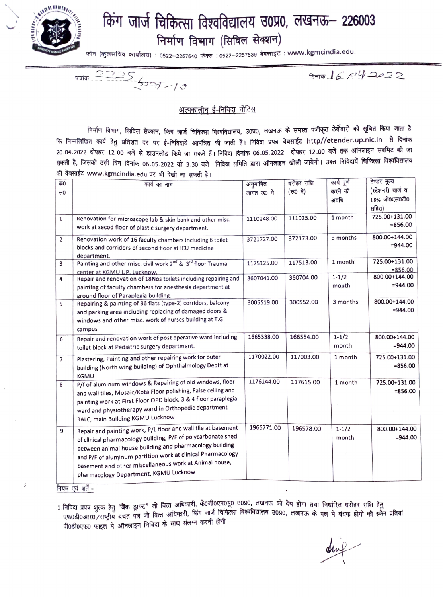

## **fcnlr** ~ **~f<hffil ~~q~Ellcl~ ~o~o, 61(916,- 226003**   $F$  निर्माण विभाग (सिविल सेक्शन)

~ {"Jc+H~i:l ~) : 0522-2257540 itlcR, : 0522-2257539 ~ : **www.kgmcindia.edu.** 

 $\frac{2225}{327-10}$ 

 $R = 6.042022$ 

## अल्पकालीन ई-निविदा नोटिस

निर्माण विभाग, सिविल सेक्शन, किंग जार्ज चिकित्सा विश्वविद्यालय, उ0प्र0, लखनऊ के समस्त पंजीकृत ठेकेंदारों को सूचित किया जाता है कि निम्नलिखित कार्य हेतु प्रतिशत दर पर ई-निविदायें आमंत्रित की जाती हैं। निविदा प्रपत्र वेबसाईट http//etender.up.nlc.in से दिनांक 20 04 2022 दोपहर 12 00 बजे से डाउनलोड किये जा सकते हैं। निविदा दिनांक 06 05 2022 दोपहर 12 00 बजे तक ऑनलाइन सबमिट की जा .<br>सकती है, जिसको उसी दिन दिनांक 06.05.2022 को 3.30 बजे निविदा समिति द्वारा ऑनलाइन खोली जायेगी। उक्त निविदायेँ चिकित्सा विश्वविद्यालय की वेबसाईट www.kgmcindia.edu पर भी देखी जा सकती है।

| 650            | कार्य का नाम                                                                       | अनुमानित    | धरोहर राशि | कार्य पूर्ण | टेण्डर मूल्य      |
|----------------|------------------------------------------------------------------------------------|-------------|------------|-------------|-------------------|
| सं0            |                                                                                    | लागत रू0 मे | (रू0 मे)   | करने की     | (स्टेशनरी चार्ज व |
|                |                                                                                    |             |            | अवधि        | 18% जी0एस0टी0     |
|                |                                                                                    |             |            |             | सहित)             |
| $1^{\circ}$    |                                                                                    | 1110248.00  | 111025.00  | 1 month     | 725.00+131.00     |
|                | Renovation for microscope lab & skin bank and other misc.                          |             |            |             | $= 856.00$        |
|                | work at secod floor of plastic surgery department.                                 |             |            |             |                   |
| $\overline{2}$ | Renovation work of 16 faculty chambers including 6 toilet                          | 3721727.00  | 372173.00  | 3 months    | 800.00+144.00     |
|                | blocks and corridors of second floor at ICU medicine                               |             |            |             | $= 944.00$        |
|                | department.                                                                        |             |            |             |                   |
| 3              | Painting and other misc. civil work 2 <sup>nd</sup> & 3 <sup>rd</sup> floor Trauma | 1175125.00  | 117513.00  | 1 month     | 725.00+131.00     |
|                | center at KGMU UP. Lucknow.                                                        |             |            |             | $= 856.00$        |
| 4              | Repair and renovation of 18Nos toilets including repairing and                     | 3607041.00  | 360704.00  | $1 - 1/2$   | 800.00+144.00     |
|                | painting of faculty chambers for anesthesia department at                          |             |            | manth       | $= 944.00$        |
|                | ground floor of Paraplegia building.                                               |             |            |             |                   |
| 5              | Repalring & painting of 36 flats (type-2) corridors, balcony                       | 3005519.00  | 300552.00  | 3 months    | 800.00+144.00     |
|                | and parking area including replacing of damaged doors &                            |             |            |             | $= 944.00$        |
|                | windows and other misc. work of nurses building at T.G                             |             |            |             |                   |
|                | campus                                                                             |             |            |             |                   |
|                | Repair and renovation work of post operative ward including                        | 1665538.00  | 166554.00  | $1 - 1/2$   | 800.00+144.00     |
| 6              |                                                                                    |             |            | month       | $= 944.00$        |
|                | toilet block at Pediatric surgery department.                                      |             |            |             |                   |
| $\overline{7}$ | Plastering, Painting and other repairing work for outer                            | 1170022.00  | 117003.00  | 1 month     | 725.00+131.00     |
|                | building (North wing building) of Ophthalmology Deptt at                           |             |            |             | $= 856.00$        |
|                | <b>KGMU</b>                                                                        |             |            |             |                   |
| 8              | P/f of aluminum windows & Repairing of old windows, floor                          | 1176144.00  | 117615.00  | 1 month     | 725.00+131.00     |
|                | and wall tiles, Mosaic/Kota Floor polishing, False ceiling and                     |             |            |             | $= 856.00$        |
|                | painting work at First Floor OPD block, 3 & 4 floor paraplegia                     |             |            |             |                   |
|                | ward and physiotherapy ward in Orthopedic department                               |             |            |             |                   |
|                |                                                                                    |             |            |             |                   |
|                | RALC, main Building KGMU Lucknow                                                   |             |            |             |                   |
| 9              | Repair and painting work, P/L floor and wall tile at basement                      | 1965771.00  | 196578.00  | $1 - 1/2$   | 800.00+144.00     |
|                | of clinical pharmacology building, P/F of polycarbonate shed                       |             |            | month       | $=944.00$         |
|                | between animal house building and pharmacology building                            |             |            |             |                   |
|                | and P/F of aluminum partition work at clinical Pharmacology                        |             |            |             |                   |
|                | basement and other miscellaneous work at Animal house,                             |             |            |             |                   |
|                |                                                                                    |             |            |             |                   |
|                | pharmacology Department, KGMU Lucknow                                              |             |            |             |                   |

नियम एवं शर्तेः-

 $\acute{\imath}$ 

1.निविदा प्रपत्र शुल्क हेतु "बैंक ड्राफ्ट" जो वित्त अधिकारी, के0जी0एम0यू0 उ0प्र0, लखनऊ को देय होगा तथा निर्धारित धरोहर राशि हेतु '' ''त्रा रात गुल्क ey अल प्राप्य का मिल अधिकारी, किंग जार्ज चिकित्सा विश्वविद्यालय उ0प्र0, लखनऊ के पक्ष मे बंधक होगी की स्कैन प्रतियां<br>एफ0डी0आर0 ∕राष्ट्रीय बचत पत्र जो वित्त अधिकारी, किंग जार्ज चिकित्सा विश्वविद्यालय उ पी0डी0एफ0 फाइल मे ऑनलाइन निविदा के साथ संलग्न करनी होगी।